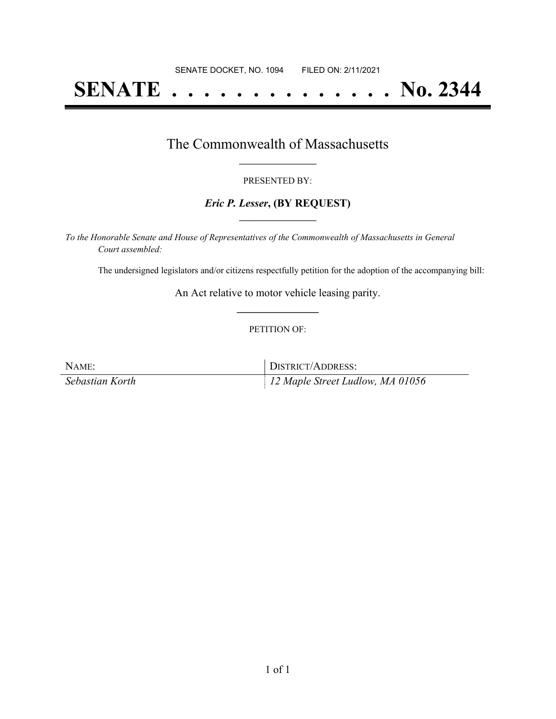# **SENATE . . . . . . . . . . . . . . No. 2344**

### The Commonwealth of Massachusetts **\_\_\_\_\_\_\_\_\_\_\_\_\_\_\_\_\_**

#### PRESENTED BY:

### *Eric P. Lesser***, (BY REQUEST) \_\_\_\_\_\_\_\_\_\_\_\_\_\_\_\_\_**

*To the Honorable Senate and House of Representatives of the Commonwealth of Massachusetts in General Court assembled:*

The undersigned legislators and/or citizens respectfully petition for the adoption of the accompanying bill:

An Act relative to motor vehicle leasing parity. **\_\_\_\_\_\_\_\_\_\_\_\_\_\_\_**

### PETITION OF:

| NAME:           | DISTRICT/ADDRESS:                            |
|-----------------|----------------------------------------------|
| Sebastian Korth | $\parallel$ 12 Maple Street Ludlow, MA 01056 |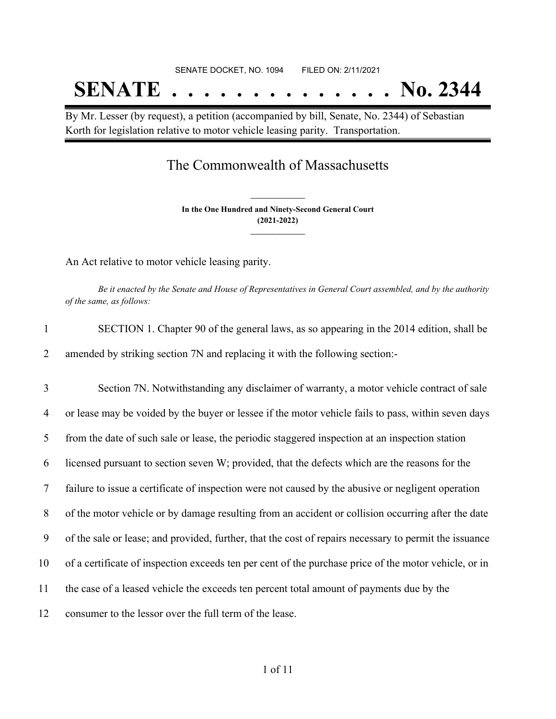# SENATE DOCKET, NO. 1094 FILED ON: 2/11/2021 **SENATE . . . . . . . . . . . . . . No. 2344**

By Mr. Lesser (by request), a petition (accompanied by bill, Senate, No. 2344) of Sebastian Korth for legislation relative to motor vehicle leasing parity. Transportation.

## The Commonwealth of Massachusetts

**In the One Hundred and Ninety-Second General Court (2021-2022) \_\_\_\_\_\_\_\_\_\_\_\_\_\_\_**

**\_\_\_\_\_\_\_\_\_\_\_\_\_\_\_**

An Act relative to motor vehicle leasing parity.

Be it enacted by the Senate and House of Representatives in General Court assembled, and by the authority *of the same, as follows:*

| SECTION 1. Chapter 90 of the general laws, as so appearing in the 2014 edition, shall be |
|------------------------------------------------------------------------------------------|
| amended by striking section 7N and replacing it with the following section:-             |

 Section 7N. Notwithstanding any disclaimer of warranty, a motor vehicle contract of sale or lease may be voided by the buyer or lessee if the motor vehicle fails to pass, within seven days from the date of such sale or lease, the periodic staggered inspection at an inspection station licensed pursuant to section seven W; provided, that the defects which are the reasons for the failure to issue a certificate of inspection were not caused by the abusive or negligent operation of the motor vehicle or by damage resulting from an accident or collision occurring after the date of the sale or lease; and provided, further, that the cost of repairs necessary to permit the issuance of a certificate of inspection exceeds ten per cent of the purchase price of the motor vehicle, or in the case of a leased vehicle the exceeds ten percent total amount of payments due by the consumer to the lessor over the full term of the lease.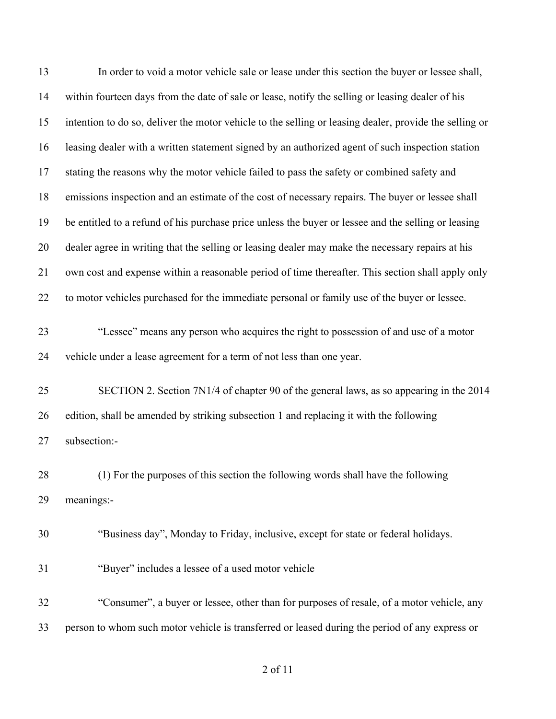| 13 | In order to void a motor vehicle sale or lease under this section the buyer or lessee shall,           |
|----|--------------------------------------------------------------------------------------------------------|
| 14 | within fourteen days from the date of sale or lease, notify the selling or leasing dealer of his       |
| 15 | intention to do so, deliver the motor vehicle to the selling or leasing dealer, provide the selling or |
| 16 | leasing dealer with a written statement signed by an authorized agent of such inspection station       |
| 17 | stating the reasons why the motor vehicle failed to pass the safety or combined safety and             |
| 18 | emissions inspection and an estimate of the cost of necessary repairs. The buyer or lessee shall       |
| 19 | be entitled to a refund of his purchase price unless the buyer or lessee and the selling or leasing    |
| 20 | dealer agree in writing that the selling or leasing dealer may make the necessary repairs at his       |
| 21 | own cost and expense within a reasonable period of time thereafter. This section shall apply only      |
| 22 | to motor vehicles purchased for the immediate personal or family use of the buyer or lessee.           |
| 23 | "Lessee" means any person who acquires the right to possession of and use of a motor                   |
| 24 | vehicle under a lease agreement for a term of not less than one year.                                  |
| 25 | SECTION 2. Section 7N1/4 of chapter 90 of the general laws, as so appearing in the 2014                |
| 26 | edition, shall be amended by striking subsection 1 and replacing it with the following                 |
| 27 | subsection:-                                                                                           |
| 28 | (1) For the purposes of this section the following words shall have the following                      |
| 29 | meanings:-                                                                                             |
| 30 | "Business day", Monday to Friday, inclusive, except for state or federal holidays.                     |
| 31 | "Buyer" includes a lessee of a used motor vehicle                                                      |
| 32 | "Consumer", a buyer or lessee, other than for purposes of resale, of a motor vehicle, any              |
| 33 | person to whom such motor vehicle is transferred or leased during the period of any express or         |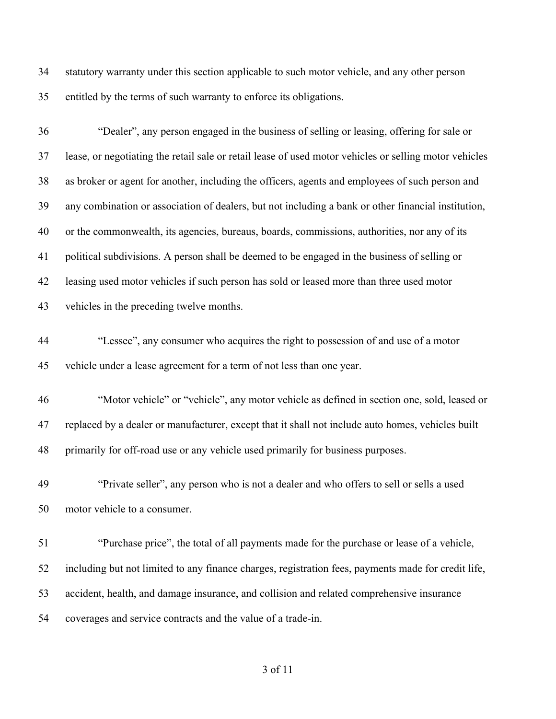statutory warranty under this section applicable to such motor vehicle, and any other person entitled by the terms of such warranty to enforce its obligations.

 "Dealer", any person engaged in the business of selling or leasing, offering for sale or lease, or negotiating the retail sale or retail lease of used motor vehicles or selling motor vehicles as broker or agent for another, including the officers, agents and employees of such person and any combination or association of dealers, but not including a bank or other financial institution, or the commonwealth, its agencies, bureaus, boards, commissions, authorities, nor any of its political subdivisions. A person shall be deemed to be engaged in the business of selling or leasing used motor vehicles if such person has sold or leased more than three used motor vehicles in the preceding twelve months. "Lessee", any consumer who acquires the right to possession of and use of a motor vehicle under a lease agreement for a term of not less than one year. "Motor vehicle" or "vehicle", any motor vehicle as defined in section one, sold, leased or replaced by a dealer or manufacturer, except that it shall not include auto homes, vehicles built primarily for off-road use or any vehicle used primarily for business purposes.

 "Private seller", any person who is not a dealer and who offers to sell or sells a used motor vehicle to a consumer.

 "Purchase price", the total of all payments made for the purchase or lease of a vehicle, including but not limited to any finance charges, registration fees, payments made for credit life, accident, health, and damage insurance, and collision and related comprehensive insurance coverages and service contracts and the value of a trade-in.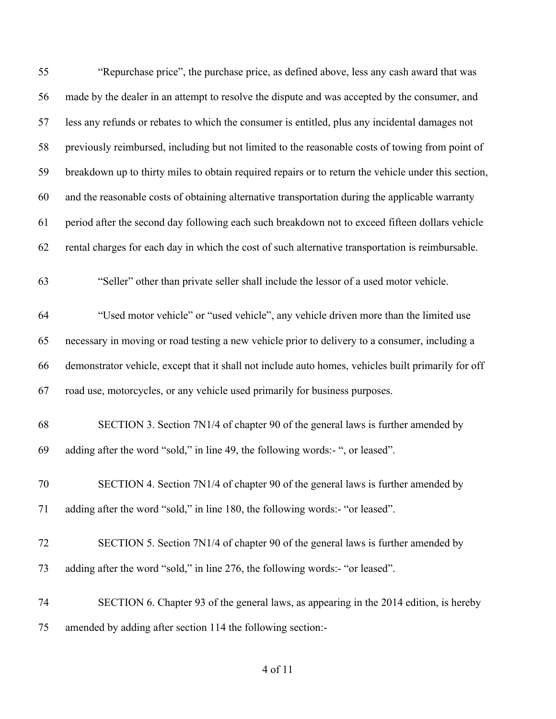| 55 | "Repurchase price", the purchase price, as defined above, less any cash award that was               |
|----|------------------------------------------------------------------------------------------------------|
| 56 | made by the dealer in an attempt to resolve the dispute and was accepted by the consumer, and        |
| 57 | less any refunds or rebates to which the consumer is entitled, plus any incidental damages not       |
| 58 | previously reimbursed, including but not limited to the reasonable costs of towing from point of     |
| 59 | breakdown up to thirty miles to obtain required repairs or to return the vehicle under this section, |
| 60 | and the reasonable costs of obtaining alternative transportation during the applicable warranty      |
| 61 | period after the second day following each such breakdown not to exceed fifteen dollars vehicle      |
| 62 | rental charges for each day in which the cost of such alternative transportation is reimbursable.    |
| 63 | "Seller" other than private seller shall include the lessor of a used motor vehicle.                 |
| 64 | "Used motor vehicle" or "used vehicle", any vehicle driven more than the limited use                 |
| 65 | necessary in moving or road testing a new vehicle prior to delivery to a consumer, including a       |
| 66 | demonstrator vehicle, except that it shall not include auto homes, vehicles built primarily for off  |
| 67 | road use, motorcycles, or any vehicle used primarily for business purposes.                          |
| 68 | SECTION 3. Section 7N1/4 of chapter 90 of the general laws is further amended by                     |
| 69 | adding after the word "sold," in line 49, the following words:-", or leased".                        |
| 70 | SECTION 4. Section 7N1/4 of chapter 90 of the general laws is further amended by                     |
| 71 | adding after the word "sold," in line 180, the following words:- "or leased".                        |
| 72 | SECTION 5. Section 7N1/4 of chapter 90 of the general laws is further amended by                     |
| 73 | adding after the word "sold," in line 276, the following words:- "or leased".                        |
| 74 | SECTION 6. Chapter 93 of the general laws, as appearing in the 2014 edition, is hereby               |
| 75 | amended by adding after section 114 the following section:-                                          |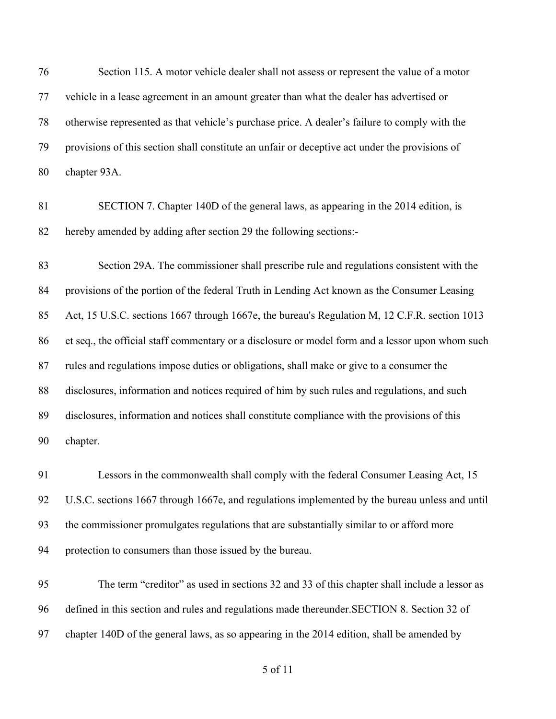Section 115. A motor vehicle dealer shall not assess or represent the value of a motor vehicle in a lease agreement in an amount greater than what the dealer has advertised or otherwise represented as that vehicle's purchase price. A dealer's failure to comply with the provisions of this section shall constitute an unfair or deceptive act under the provisions of chapter 93A.

 SECTION 7. Chapter 140D of the general laws, as appearing in the 2014 edition, is hereby amended by adding after section 29 the following sections:-

 Section 29A. The commissioner shall prescribe rule and regulations consistent with the provisions of the portion of the federal Truth in Lending Act known as the Consumer Leasing Act, 15 U.S.C. sections 1667 through 1667e, the bureau's Regulation M, 12 C.F.R. section 1013 et seq., the official staff commentary or a disclosure or model form and a lessor upon whom such rules and regulations impose duties or obligations, shall make or give to a consumer the disclosures, information and notices required of him by such rules and regulations, and such disclosures, information and notices shall constitute compliance with the provisions of this chapter.

 Lessors in the commonwealth shall comply with the federal Consumer Leasing Act, 15 U.S.C. sections 1667 through 1667e, and regulations implemented by the bureau unless and until the commissioner promulgates regulations that are substantially similar to or afford more protection to consumers than those issued by the bureau.

 The term "creditor" as used in sections 32 and 33 of this chapter shall include a lessor as defined in this section and rules and regulations made thereunder.SECTION 8. Section 32 of chapter 140D of the general laws, as so appearing in the 2014 edition, shall be amended by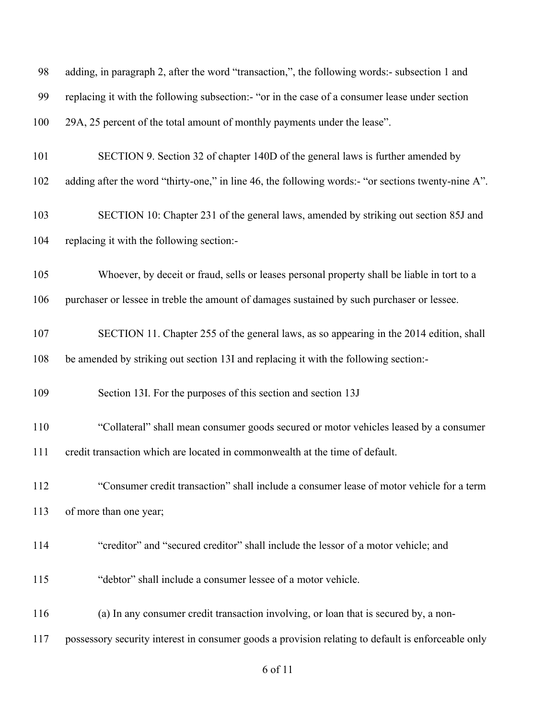| 98  | adding, in paragraph 2, after the word "transaction,", the following words:- subsection 1 and      |
|-----|----------------------------------------------------------------------------------------------------|
| 99  | replacing it with the following subsection:- "or in the case of a consumer lease under section     |
| 100 | 29A, 25 percent of the total amount of monthly payments under the lease".                          |
| 101 | SECTION 9. Section 32 of chapter 140D of the general laws is further amended by                    |
| 102 | adding after the word "thirty-one," in line 46, the following words:- "or sections twenty-nine A". |
| 103 | SECTION 10: Chapter 231 of the general laws, amended by striking out section 85J and               |
| 104 | replacing it with the following section:-                                                          |
| 105 | Whoever, by deceit or fraud, sells or leases personal property shall be liable in tort to a        |
| 106 | purchaser or lessee in treble the amount of damages sustained by such purchaser or lessee.         |
| 107 | SECTION 11. Chapter 255 of the general laws, as so appearing in the 2014 edition, shall            |
| 108 | be amended by striking out section 13I and replacing it with the following section:-               |
| 109 | Section 13I. For the purposes of this section and section 13J                                      |
| 110 | "Collateral" shall mean consumer goods secured or motor vehicles leased by a consumer              |
| 111 | credit transaction which are located in commonwealth at the time of default.                       |
| 112 | "Consumer credit transaction" shall include a consumer lease of motor vehicle for a term           |
| 113 | of more than one year;                                                                             |
| 114 | "creditor" and "secured creditor" shall include the lessor of a motor vehicle; and                 |
| 115 | "debtor" shall include a consumer lessee of a motor vehicle.                                       |
| 116 | (a) In any consumer credit transaction involving, or loan that is secured by, a non-               |
| 117 | possessory security interest in consumer goods a provision relating to default is enforceable only |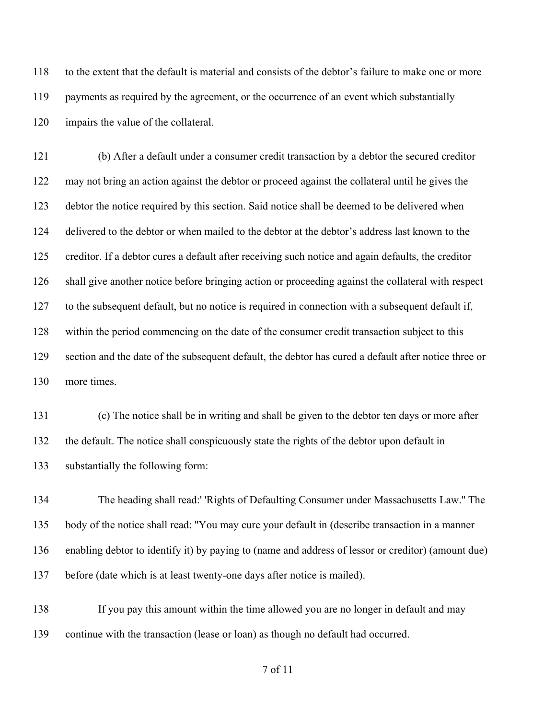to the extent that the default is material and consists of the debtor's failure to make one or more payments as required by the agreement, or the occurrence of an event which substantially impairs the value of the collateral.

 (b) After a default under a consumer credit transaction by a debtor the secured creditor may not bring an action against the debtor or proceed against the collateral until he gives the debtor the notice required by this section. Said notice shall be deemed to be delivered when delivered to the debtor or when mailed to the debtor at the debtor's address last known to the creditor. If a debtor cures a default after receiving such notice and again defaults, the creditor shall give another notice before bringing action or proceeding against the collateral with respect to the subsequent default, but no notice is required in connection with a subsequent default if, within the period commencing on the date of the consumer credit transaction subject to this section and the date of the subsequent default, the debtor has cured a default after notice three or more times.

 (c) The notice shall be in writing and shall be given to the debtor ten days or more after the default. The notice shall conspicuously state the rights of the debtor upon default in substantially the following form:

 The heading shall read:' 'Rights of Defaulting Consumer under Massachusetts Law.'' The body of the notice shall read: ''You may cure your default in (describe transaction in a manner enabling debtor to identify it) by paying to (name and address of lessor or creditor) (amount due) before (date which is at least twenty-one days after notice is mailed).

 If you pay this amount within the time allowed you are no longer in default and may continue with the transaction (lease or loan) as though no default had occurred.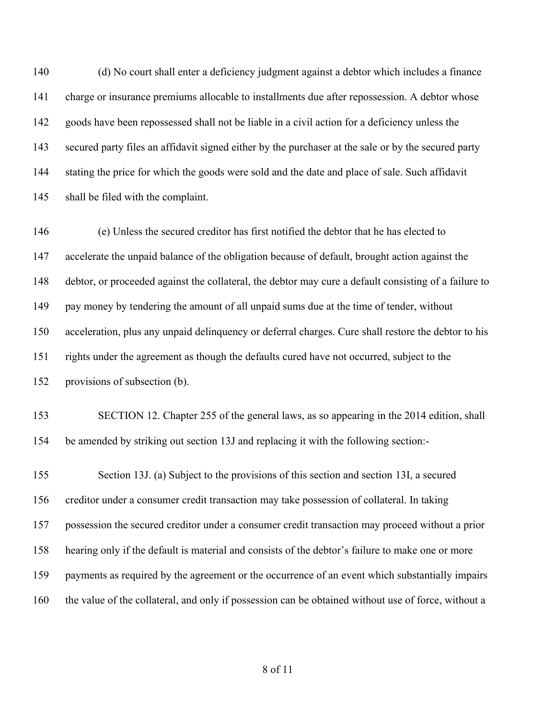(d) No court shall enter a deficiency judgment against a debtor which includes a finance charge or insurance premiums allocable to installments due after repossession. A debtor whose goods have been repossessed shall not be liable in a civil action for a deficiency unless the secured party files an affidavit signed either by the purchaser at the sale or by the secured party stating the price for which the goods were sold and the date and place of sale. Such affidavit shall be filed with the complaint.

 (e) Unless the secured creditor has first notified the debtor that he has elected to accelerate the unpaid balance of the obligation because of default, brought action against the debtor, or proceeded against the collateral, the debtor may cure a default consisting of a failure to pay money by tendering the amount of all unpaid sums due at the time of tender, without acceleration, plus any unpaid delinquency or deferral charges. Cure shall restore the debtor to his rights under the agreement as though the defaults cured have not occurred, subject to the provisions of subsection (b).

 SECTION 12. Chapter 255 of the general laws, as so appearing in the 2014 edition, shall be amended by striking out section 13J and replacing it with the following section:-

 Section 13J. (a) Subject to the provisions of this section and section 13I, a secured creditor under a consumer credit transaction may take possession of collateral. In taking possession the secured creditor under a consumer credit transaction may proceed without a prior hearing only if the default is material and consists of the debtor's failure to make one or more payments as required by the agreement or the occurrence of an event which substantially impairs the value of the collateral, and only if possession can be obtained without use of force, without a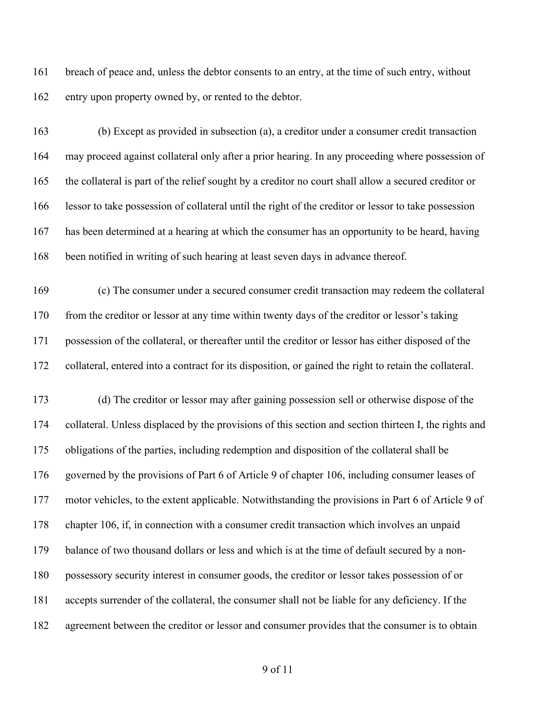breach of peace and, unless the debtor consents to an entry, at the time of such entry, without entry upon property owned by, or rented to the debtor.

 (b) Except as provided in subsection (a), a creditor under a consumer credit transaction may proceed against collateral only after a prior hearing. In any proceeding where possession of the collateral is part of the relief sought by a creditor no court shall allow a secured creditor or lessor to take possession of collateral until the right of the creditor or lessor to take possession has been determined at a hearing at which the consumer has an opportunity to be heard, having been notified in writing of such hearing at least seven days in advance thereof.

 (c) The consumer under a secured consumer credit transaction may redeem the collateral from the creditor or lessor at any time within twenty days of the creditor or lessor's taking possession of the collateral, or thereafter until the creditor or lessor has either disposed of the collateral, entered into a contract for its disposition, or gained the right to retain the collateral.

 (d) The creditor or lessor may after gaining possession sell or otherwise dispose of the collateral. Unless displaced by the provisions of this section and section thirteen I, the rights and obligations of the parties, including redemption and disposition of the collateral shall be governed by the provisions of Part 6 of Article 9 of chapter 106, including consumer leases of motor vehicles, to the extent applicable. Notwithstanding the provisions in Part 6 of Article 9 of chapter 106, if, in connection with a consumer credit transaction which involves an unpaid balance of two thousand dollars or less and which is at the time of default secured by a non- possessory security interest in consumer goods, the creditor or lessor takes possession of or accepts surrender of the collateral, the consumer shall not be liable for any deficiency. If the agreement between the creditor or lessor and consumer provides that the consumer is to obtain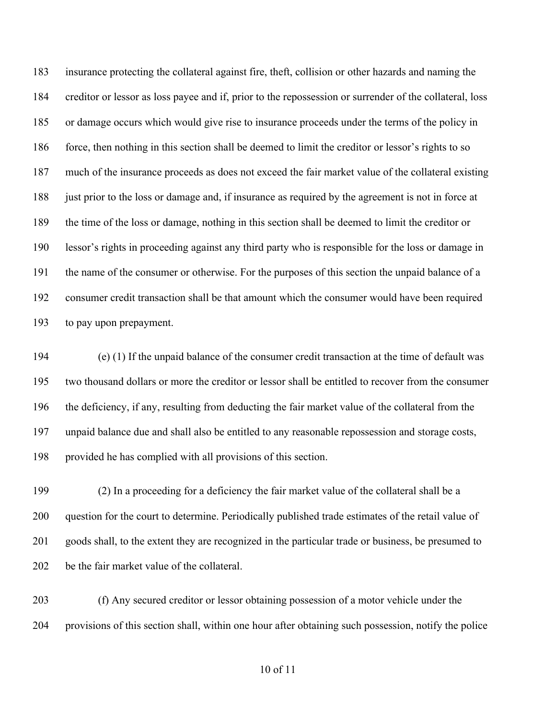insurance protecting the collateral against fire, theft, collision or other hazards and naming the creditor or lessor as loss payee and if, prior to the repossession or surrender of the collateral, loss or damage occurs which would give rise to insurance proceeds under the terms of the policy in force, then nothing in this section shall be deemed to limit the creditor or lessor's rights to so much of the insurance proceeds as does not exceed the fair market value of the collateral existing just prior to the loss or damage and, if insurance as required by the agreement is not in force at the time of the loss or damage, nothing in this section shall be deemed to limit the creditor or lessor's rights in proceeding against any third party who is responsible for the loss or damage in the name of the consumer or otherwise. For the purposes of this section the unpaid balance of a consumer credit transaction shall be that amount which the consumer would have been required to pay upon prepayment.

 (e) (1) If the unpaid balance of the consumer credit transaction at the time of default was two thousand dollars or more the creditor or lessor shall be entitled to recover from the consumer the deficiency, if any, resulting from deducting the fair market value of the collateral from the unpaid balance due and shall also be entitled to any reasonable repossession and storage costs, provided he has complied with all provisions of this section.

 (2) In a proceeding for a deficiency the fair market value of the collateral shall be a question for the court to determine. Periodically published trade estimates of the retail value of goods shall, to the extent they are recognized in the particular trade or business, be presumed to be the fair market value of the collateral.

 (f) Any secured creditor or lessor obtaining possession of a motor vehicle under the provisions of this section shall, within one hour after obtaining such possession, notify the police